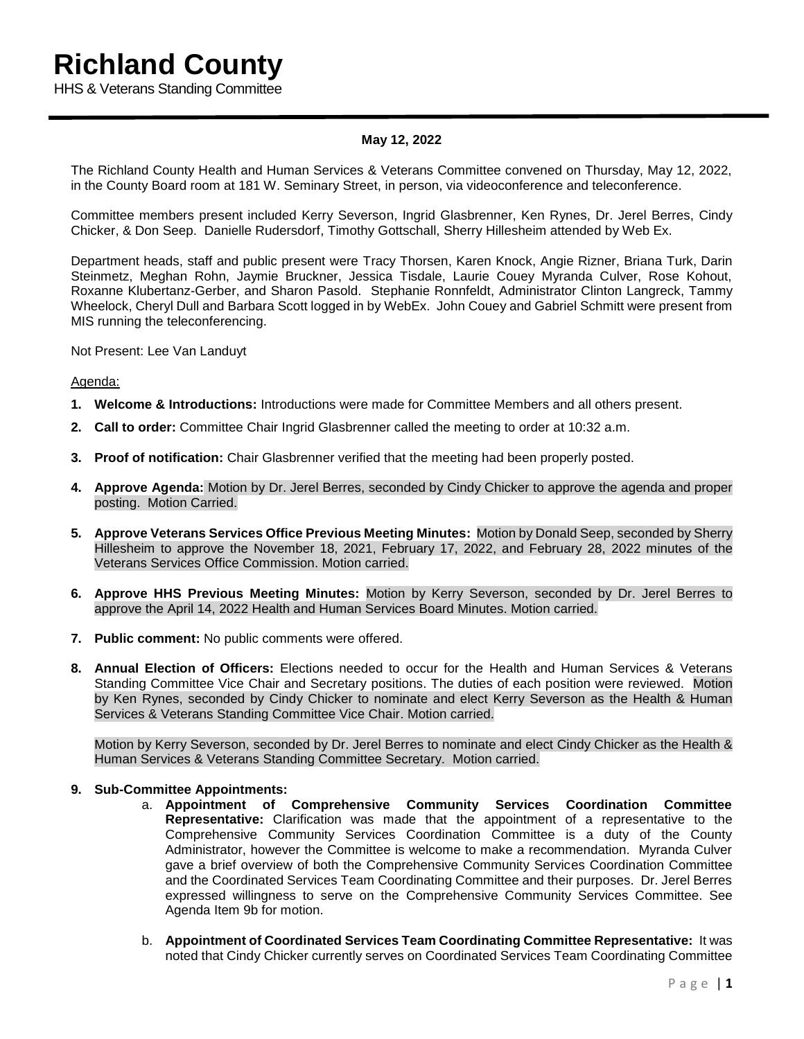# **Richland County**

HHS & Veterans Standing Committee

# **May 12, 2022**

The Richland County Health and Human Services & Veterans Committee convened on Thursday, May 12, 2022, in the County Board room at 181 W. Seminary Street, in person, via videoconference and teleconference.

Committee members present included Kerry Severson, Ingrid Glasbrenner, Ken Rynes, Dr. Jerel Berres, Cindy Chicker, & Don Seep. Danielle Rudersdorf, Timothy Gottschall, Sherry Hillesheim attended by Web Ex.

Department heads, staff and public present were Tracy Thorsen, Karen Knock, Angie Rizner, Briana Turk, Darin Steinmetz, Meghan Rohn, Jaymie Bruckner, Jessica Tisdale, Laurie Couey Myranda Culver, Rose Kohout, Roxanne Klubertanz-Gerber, and Sharon Pasold. Stephanie Ronnfeldt, Administrator Clinton Langreck, Tammy Wheelock, Cheryl Dull and Barbara Scott logged in by WebEx. John Couey and Gabriel Schmitt were present from MIS running the teleconferencing.

Not Present: Lee Van Landuyt

# Agenda:

- **1. Welcome & Introductions:** Introductions were made for Committee Members and all others present.
- **2. Call to order:** Committee Chair Ingrid Glasbrenner called the meeting to order at 10:32 a.m.
- **3. Proof of notification:** Chair Glasbrenner verified that the meeting had been properly posted.
- **4. Approve Agenda:** Motion by Dr. Jerel Berres, seconded by Cindy Chicker to approve the agenda and proper posting. Motion Carried.
- **5. Approve Veterans Services Office Previous Meeting Minutes:** Motion by Donald Seep, seconded by Sherry Hillesheim to approve the November 18, 2021, February 17, 2022, and February 28, 2022 minutes of the Veterans Services Office Commission. Motion carried.
- **6. Approve HHS Previous Meeting Minutes:** Motion by Kerry Severson, seconded by Dr. Jerel Berres to approve the April 14, 2022 Health and Human Services Board Minutes. Motion carried.
- **7. Public comment:** No public comments were offered.
- **8. Annual Election of Officers:** Elections needed to occur for the Health and Human Services & Veterans Standing Committee Vice Chair and Secretary positions. The duties of each position were reviewed. Motion by Ken Rynes, seconded by Cindy Chicker to nominate and elect Kerry Severson as the Health & Human Services & Veterans Standing Committee Vice Chair. Motion carried.

Motion by Kerry Severson, seconded by Dr. Jerel Berres to nominate and elect Cindy Chicker as the Health & Human Services & Veterans Standing Committee Secretary. Motion carried.

# **9. Sub-Committee Appointments:**

- a. **Appointment of Comprehensive Community Services Coordination Committee Representative:** Clarification was made that the appointment of a representative to the Comprehensive Community Services Coordination Committee is a duty of the County Administrator, however the Committee is welcome to make a recommendation. Myranda Culver gave a brief overview of both the Comprehensive Community Services Coordination Committee and the Coordinated Services Team Coordinating Committee and their purposes. Dr. Jerel Berres expressed willingness to serve on the Comprehensive Community Services Committee. See Agenda Item 9b for motion.
- b. **Appointment of Coordinated Services Team Coordinating Committee Representative:** It was noted that Cindy Chicker currently serves on Coordinated Services Team Coordinating Committee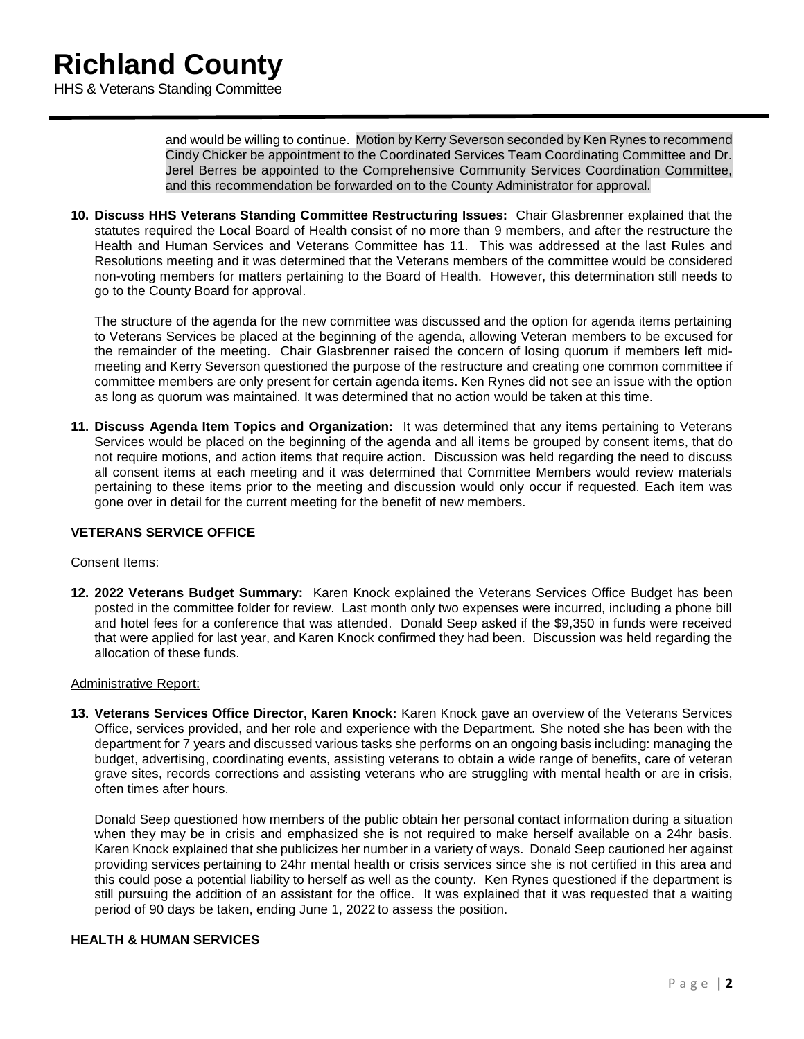and would be willing to continue. Motion by Kerry Severson seconded by Ken Rynes to recommend Cindy Chicker be appointment to the Coordinated Services Team Coordinating Committee and Dr. Jerel Berres be appointed to the Comprehensive Community Services Coordination Committee, and this recommendation be forwarded on to the County Administrator for approval.

**10. Discuss HHS Veterans Standing Committee Restructuring Issues:** Chair Glasbrenner explained that the statutes required the Local Board of Health consist of no more than 9 members, and after the restructure the Health and Human Services and Veterans Committee has 11. This was addressed at the last Rules and Resolutions meeting and it was determined that the Veterans members of the committee would be considered non-voting members for matters pertaining to the Board of Health. However, this determination still needs to go to the County Board for approval.

The structure of the agenda for the new committee was discussed and the option for agenda items pertaining to Veterans Services be placed at the beginning of the agenda, allowing Veteran members to be excused for the remainder of the meeting. Chair Glasbrenner raised the concern of losing quorum if members left midmeeting and Kerry Severson questioned the purpose of the restructure and creating one common committee if committee members are only present for certain agenda items. Ken Rynes did not see an issue with the option as long as quorum was maintained. It was determined that no action would be taken at this time.

**11. Discuss Agenda Item Topics and Organization:** It was determined that any items pertaining to Veterans Services would be placed on the beginning of the agenda and all items be grouped by consent items, that do not require motions, and action items that require action. Discussion was held regarding the need to discuss all consent items at each meeting and it was determined that Committee Members would review materials pertaining to these items prior to the meeting and discussion would only occur if requested. Each item was gone over in detail for the current meeting for the benefit of new members.

# **VETERANS SERVICE OFFICE**

# Consent Items:

**12. 2022 Veterans Budget Summary:** Karen Knock explained the Veterans Services Office Budget has been posted in the committee folder for review. Last month only two expenses were incurred, including a phone bill and hotel fees for a conference that was attended. Donald Seep asked if the \$9,350 in funds were received that were applied for last year, and Karen Knock confirmed they had been. Discussion was held regarding the allocation of these funds.

# Administrative Report:

**13. Veterans Services Office Director, Karen Knock:** Karen Knock gave an overview of the Veterans Services Office, services provided, and her role and experience with the Department. She noted she has been with the department for 7 years and discussed various tasks she performs on an ongoing basis including: managing the budget, advertising, coordinating events, assisting veterans to obtain a wide range of benefits, care of veteran grave sites, records corrections and assisting veterans who are struggling with mental health or are in crisis, often times after hours.

Donald Seep questioned how members of the public obtain her personal contact information during a situation when they may be in crisis and emphasized she is not required to make herself available on a 24hr basis. Karen Knock explained that she publicizes her number in a variety of ways. Donald Seep cautioned her against providing services pertaining to 24hr mental health or crisis services since she is not certified in this area and this could pose a potential liability to herself as well as the county.Ken Rynes questioned if the department is still pursuing the addition of an assistant for the office. It was explained that it was requested that a waiting period of 90 days be taken, ending June 1, 2022 to assess the position.

# **HEALTH & HUMAN SERVICES**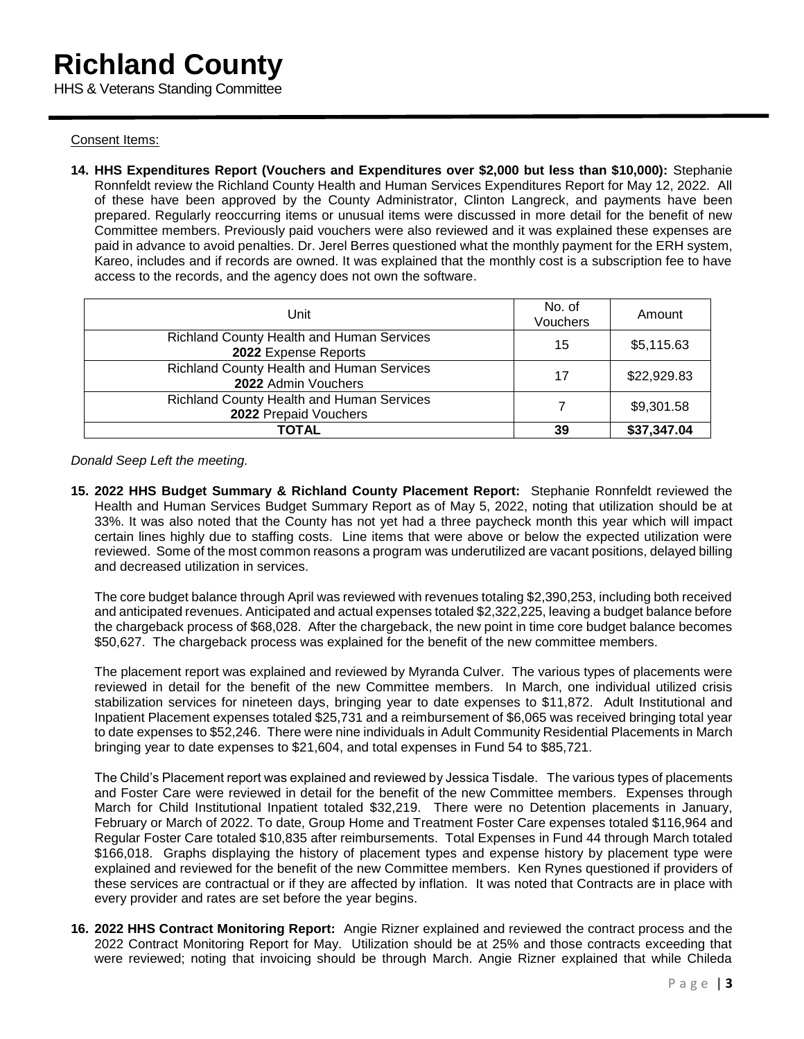Consent Items:

**14. HHS Expenditures Report (Vouchers and Expenditures over \$2,000 but less than \$10,000):** Stephanie Ronnfeldt review the Richland County Health and Human Services Expenditures Report for May 12, 2022. All of these have been approved by the County Administrator, Clinton Langreck, and payments have been prepared. Regularly reoccurring items or unusual items were discussed in more detail for the benefit of new Committee members. Previously paid vouchers were also reviewed and it was explained these expenses are paid in advance to avoid penalties. Dr. Jerel Berres questioned what the monthly payment for the ERH system, Kareo, includes and if records are owned. It was explained that the monthly cost is a subscription fee to have access to the records, and the agency does not own the software.

| Unit                                                               | No. of<br>Vouchers | Amount      |
|--------------------------------------------------------------------|--------------------|-------------|
| Richland County Health and Human Services<br>2022 Expense Reports  | 15                 | \$5,115.63  |
| Richland County Health and Human Services<br>2022 Admin Vouchers   | 17                 | \$22,929.83 |
| Richland County Health and Human Services<br>2022 Prepaid Vouchers |                    | \$9,301.58  |
| TOTAL                                                              | 39                 | \$37,347.04 |

*Donald Seep Left the meeting.*

**15. 2022 HHS Budget Summary & Richland County Placement Report:** Stephanie Ronnfeldt reviewed the Health and Human Services Budget Summary Report as of May 5, 2022, noting that utilization should be at 33%. It was also noted that the County has not yet had a three paycheck month this year which will impact certain lines highly due to staffing costs. Line items that were above or below the expected utilization were reviewed. Some of the most common reasons a program was underutilized are vacant positions, delayed billing and decreased utilization in services.

The core budget balance through April was reviewed with revenues totaling \$2,390,253, including both received and anticipated revenues. Anticipated and actual expenses totaled \$2,322,225, leaving a budget balance before the chargeback process of \$68,028. After the chargeback, the new point in time core budget balance becomes \$50,627. The chargeback process was explained for the benefit of the new committee members.

The placement report was explained and reviewed by Myranda Culver. The various types of placements were reviewed in detail for the benefit of the new Committee members. In March, one individual utilized crisis stabilization services for nineteen days, bringing year to date expenses to \$11,872. Adult Institutional and Inpatient Placement expenses totaled \$25,731 and a reimbursement of \$6,065 was received bringing total year to date expenses to \$52,246. There were nine individuals in Adult Community Residential Placements in March bringing year to date expenses to \$21,604, and total expenses in Fund 54 to \$85,721.

The Child's Placement report was explained and reviewed by Jessica Tisdale. The various types of placements and Foster Care were reviewed in detail for the benefit of the new Committee members. Expenses through March for Child Institutional Inpatient totaled \$32,219. There were no Detention placements in January, February or March of 2022. To date, Group Home and Treatment Foster Care expenses totaled \$116,964 and Regular Foster Care totaled \$10,835 after reimbursements. Total Expenses in Fund 44 through March totaled \$166,018. Graphs displaying the history of placement types and expense history by placement type were explained and reviewed for the benefit of the new Committee members. Ken Rynes questioned if providers of these services are contractual or if they are affected by inflation. It was noted that Contracts are in place with every provider and rates are set before the year begins.

**16. 2022 HHS Contract Monitoring Report:** Angie Rizner explained and reviewed the contract process and the 2022 Contract Monitoring Report for May. Utilization should be at 25% and those contracts exceeding that were reviewed; noting that invoicing should be through March. Angie Rizner explained that while Chileda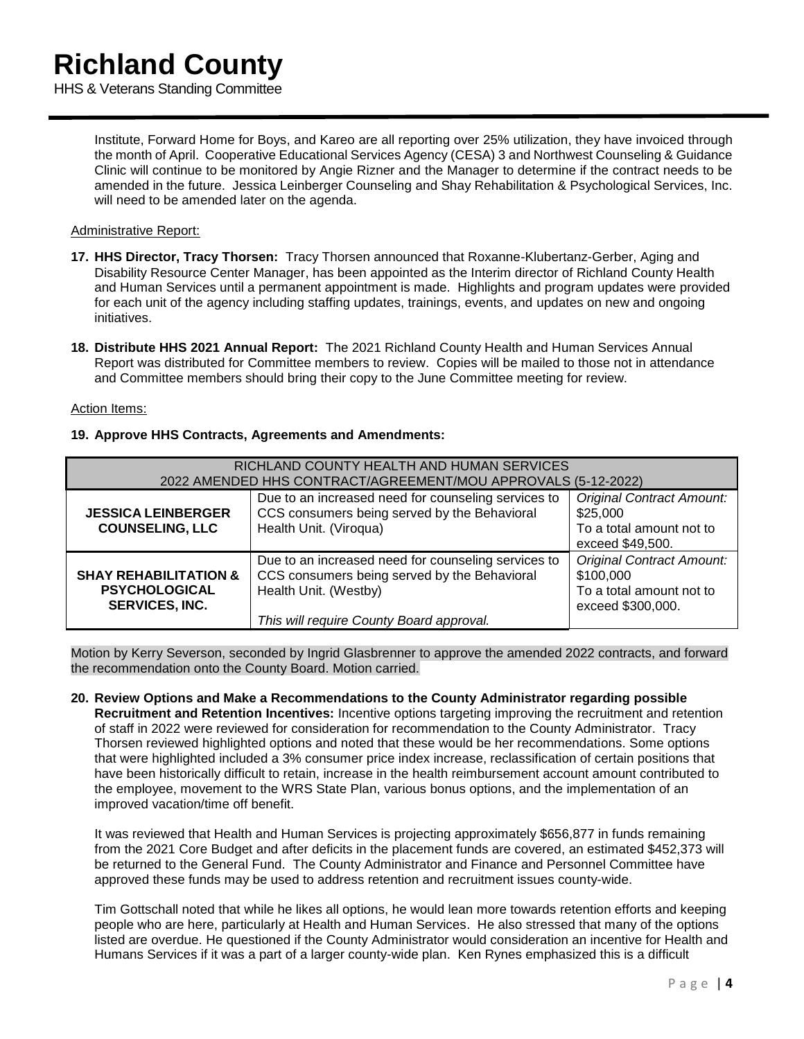Institute, Forward Home for Boys, and Kareo are all reporting over 25% utilization, they have invoiced through the month of April. Cooperative Educational Services Agency (CESA) 3 and Northwest Counseling & Guidance Clinic will continue to be monitored by Angie Rizner and the Manager to determine if the contract needs to be amended in the future. Jessica Leinberger Counseling and Shay Rehabilitation & Psychological Services, Inc. will need to be amended later on the agenda.

# Administrative Report:

- **17. HHS Director, Tracy Thorsen:** Tracy Thorsen announced that Roxanne-Klubertanz-Gerber, Aging and Disability Resource Center Manager, has been appointed as the Interim director of Richland County Health and Human Services until a permanent appointment is made. Highlights and program updates were provided for each unit of the agency including staffing updates, trainings, events, and updates on new and ongoing initiatives.
- **18. Distribute HHS 2021 Annual Report:** The 2021 Richland County Health and Human Services Annual Report was distributed for Committee members to review. Copies will be mailed to those not in attendance and Committee members should bring their copy to the June Committee meeting for review.

# Action Items:

# **19. Approve HHS Contracts, Agreements and Amendments:**

| RICHLAND COUNTY HEALTH AND HUMAN SERVICES<br>2022 AMENDED HHS CONTRACT/AGREEMENT/MOU APPROVALS (5-12-2022) |                                                                                                                                                                          |                                                                                                |  |
|------------------------------------------------------------------------------------------------------------|--------------------------------------------------------------------------------------------------------------------------------------------------------------------------|------------------------------------------------------------------------------------------------|--|
| <b>JESSICA LEINBERGER</b><br><b>COUNSELING, LLC</b>                                                        | Due to an increased need for counseling services to<br>CCS consumers being served by the Behavioral<br>Health Unit. (Viroqua)                                            | <b>Original Contract Amount:</b><br>\$25,000<br>To a total amount not to<br>exceed \$49,500.   |  |
| <b>SHAY REHABILITATION &amp;</b><br><b>PSYCHOLOGICAL</b><br><b>SERVICES, INC.</b>                          | Due to an increased need for counseling services to<br>CCS consumers being served by the Behavioral<br>Health Unit. (Westby)<br>This will require County Board approval. | <b>Original Contract Amount:</b><br>\$100,000<br>To a total amount not to<br>exceed \$300,000. |  |

Motion by Kerry Severson, seconded by Ingrid Glasbrenner to approve the amended 2022 contracts, and forward the recommendation onto the County Board. Motion carried.

**20. Review Options and Make a Recommendations to the County Administrator regarding possible Recruitment and Retention Incentives:** Incentive options targeting improving the recruitment and retention of staff in 2022 were reviewed for consideration for recommendation to the County Administrator. Tracy Thorsen reviewed highlighted options and noted that these would be her recommendations. Some options that were highlighted included a 3% consumer price index increase, reclassification of certain positions that have been historically difficult to retain, increase in the health reimbursement account amount contributed to the employee, movement to the WRS State Plan, various bonus options, and the implementation of an improved vacation/time off benefit.

It was reviewed that Health and Human Services is projecting approximately \$656,877 in funds remaining from the 2021 Core Budget and after deficits in the placement funds are covered, an estimated \$452,373 will be returned to the General Fund. The County Administrator and Finance and Personnel Committee have approved these funds may be used to address retention and recruitment issues county-wide.

Tim Gottschall noted that while he likes all options, he would lean more towards retention efforts and keeping people who are here, particularly at Health and Human Services. He also stressed that many of the options listed are overdue. He questioned if the County Administrator would consideration an incentive for Health and Humans Services if it was a part of a larger county-wide plan. Ken Rynes emphasized this is a difficult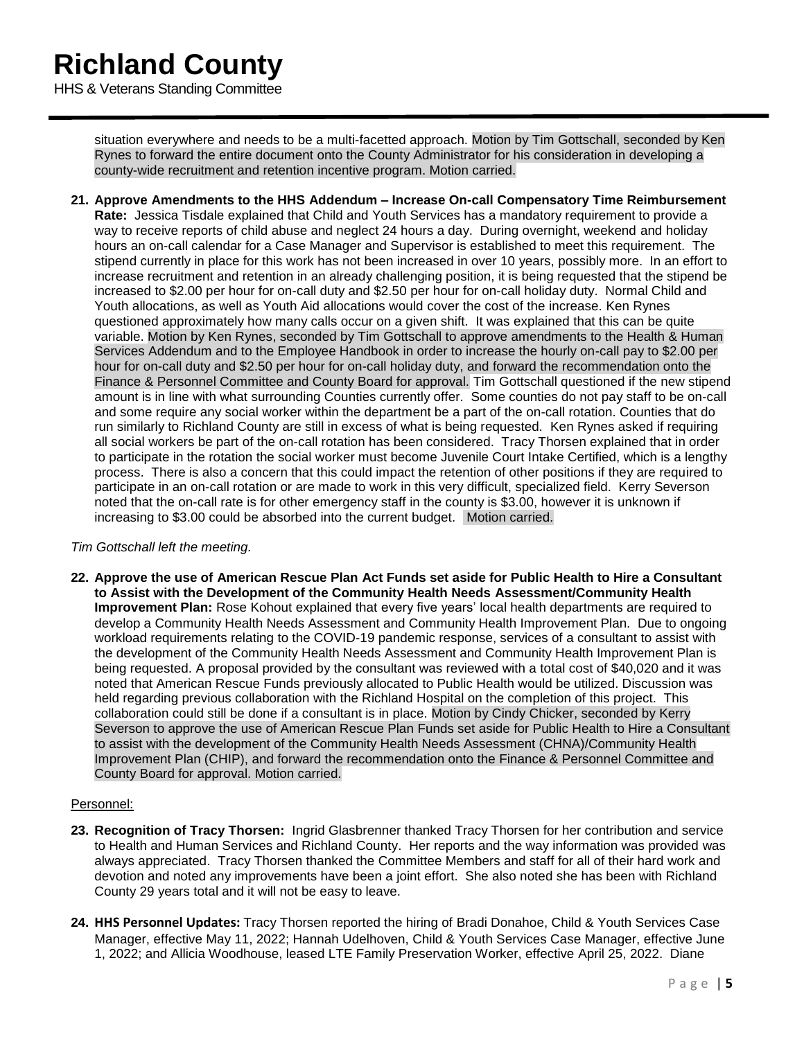situation everywhere and needs to be a multi-facetted approach. Motion by Tim Gottschall, seconded by Ken Rynes to forward the entire document onto the County Administrator for his consideration in developing a county-wide recruitment and retention incentive program. Motion carried.

**21. Approve Amendments to the HHS Addendum – Increase On-call Compensatory Time Reimbursement Rate:** Jessica Tisdale explained that Child and Youth Services has a mandatory requirement to provide a way to receive reports of child abuse and neglect 24 hours a day. During overnight, weekend and holiday hours an on-call calendar for a Case Manager and Supervisor is established to meet this requirement. The stipend currently in place for this work has not been increased in over 10 years, possibly more. In an effort to increase recruitment and retention in an already challenging position, it is being requested that the stipend be increased to \$2.00 per hour for on-call duty and \$2.50 per hour for on-call holiday duty. Normal Child and Youth allocations, as well as Youth Aid allocations would cover the cost of the increase. Ken Rynes questioned approximately how many calls occur on a given shift. It was explained that this can be quite variable. Motion by Ken Rynes, seconded by Tim Gottschall to approve amendments to the Health & Human Services Addendum and to the Employee Handbook in order to increase the hourly on-call pay to \$2.00 per hour for on-call duty and \$2.50 per hour for on-call holiday duty, and forward the recommendation onto the Finance & Personnel Committee and County Board for approval. Tim Gottschall questioned if the new stipend amount is in line with what surrounding Counties currently offer. Some counties do not pay staff to be on-call and some require any social worker within the department be a part of the on-call rotation. Counties that do run similarly to Richland County are still in excess of what is being requested. Ken Rynes asked if requiring all social workers be part of the on-call rotation has been considered. Tracy Thorsen explained that in order to participate in the rotation the social worker must become Juvenile Court Intake Certified, which is a lengthy process. There is also a concern that this could impact the retention of other positions if they are required to participate in an on-call rotation or are made to work in this very difficult, specialized field. Kerry Severson noted that the on-call rate is for other emergency staff in the county is \$3.00, however it is unknown if increasing to \$3.00 could be absorbed into the current budget. Motion carried.

# *Tim Gottschall left the meeting.*

**22. Approve the use of American Rescue Plan Act Funds set aside for Public Health to Hire a Consultant to Assist with the Development of the Community Health Needs Assessment/Community Health Improvement Plan:** Rose Kohout explained that every five years' local health departments are required to develop a Community Health Needs Assessment and Community Health Improvement Plan. Due to ongoing workload requirements relating to the COVID-19 pandemic response, services of a consultant to assist with the development of the Community Health Needs Assessment and Community Health Improvement Plan is being requested. A proposal provided by the consultant was reviewed with a total cost of \$40,020 and it was noted that American Rescue Funds previously allocated to Public Health would be utilized. Discussion was held regarding previous collaboration with the Richland Hospital on the completion of this project. This collaboration could still be done if a consultant is in place. Motion by Cindy Chicker, seconded by Kerry Severson to approve the use of American Rescue Plan Funds set aside for Public Health to Hire a Consultant to assist with the development of the Community Health Needs Assessment (CHNA)/Community Health Improvement Plan (CHIP), and forward the recommendation onto the Finance & Personnel Committee and County Board for approval. Motion carried.

# Personnel:

- **23. Recognition of Tracy Thorsen:** Ingrid Glasbrenner thanked Tracy Thorsen for her contribution and service to Health and Human Services and Richland County. Her reports and the way information was provided was always appreciated. Tracy Thorsen thanked the Committee Members and staff for all of their hard work and devotion and noted any improvements have been a joint effort. She also noted she has been with Richland County 29 years total and it will not be easy to leave.
- **24. HHS Personnel Updates:** Tracy Thorsen reported the hiring of Bradi Donahoe, Child & Youth Services Case Manager, effective May 11, 2022; Hannah Udelhoven, Child & Youth Services Case Manager, effective June 1, 2022; and Allicia Woodhouse, leased LTE Family Preservation Worker, effective April 25, 2022. Diane